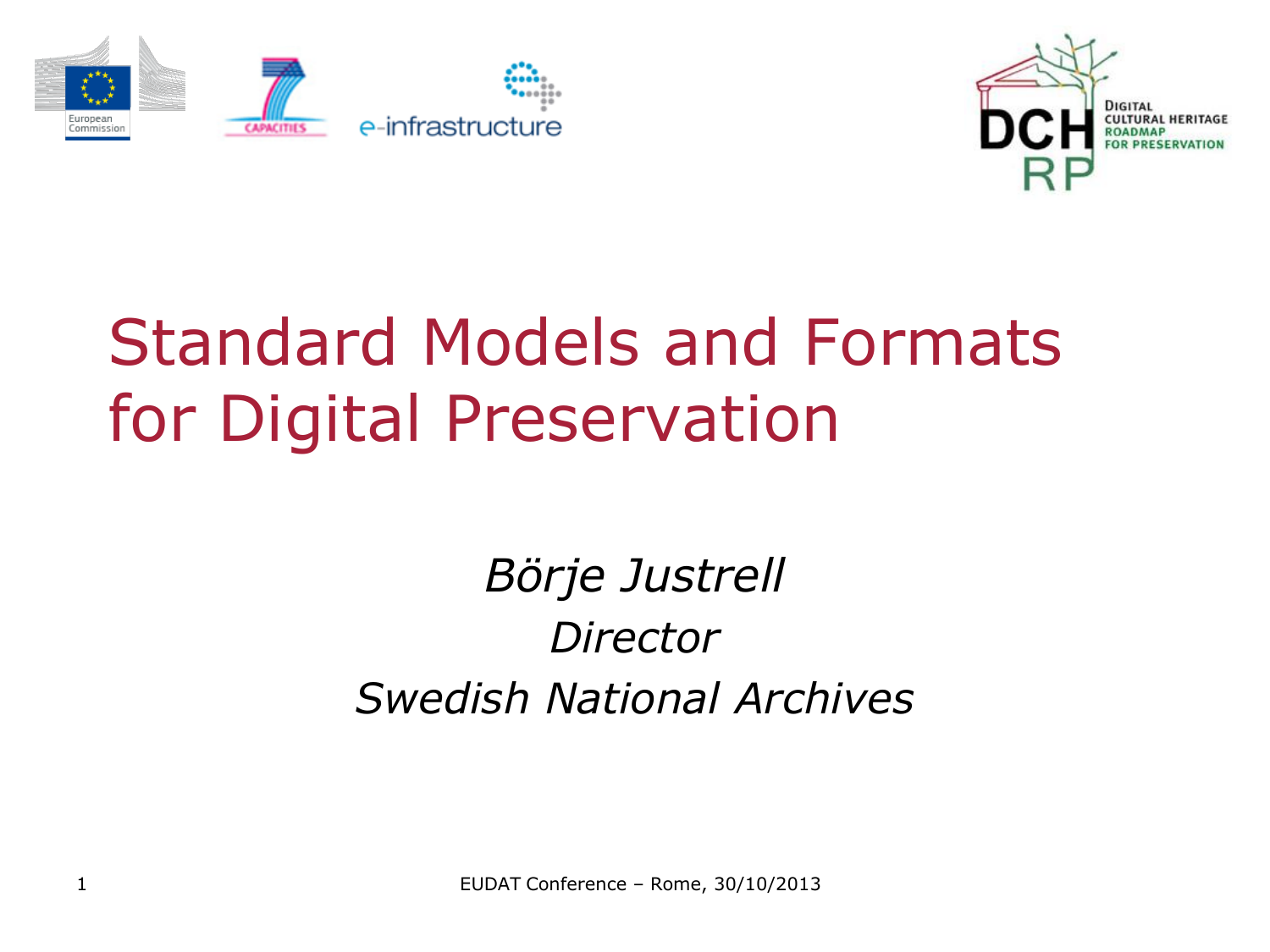



# Standard Models and Formats for Digital Preservation

### *Börje Justrell Director Swedish National Archives*

EUDAT Conference – Rome, 30/10/2013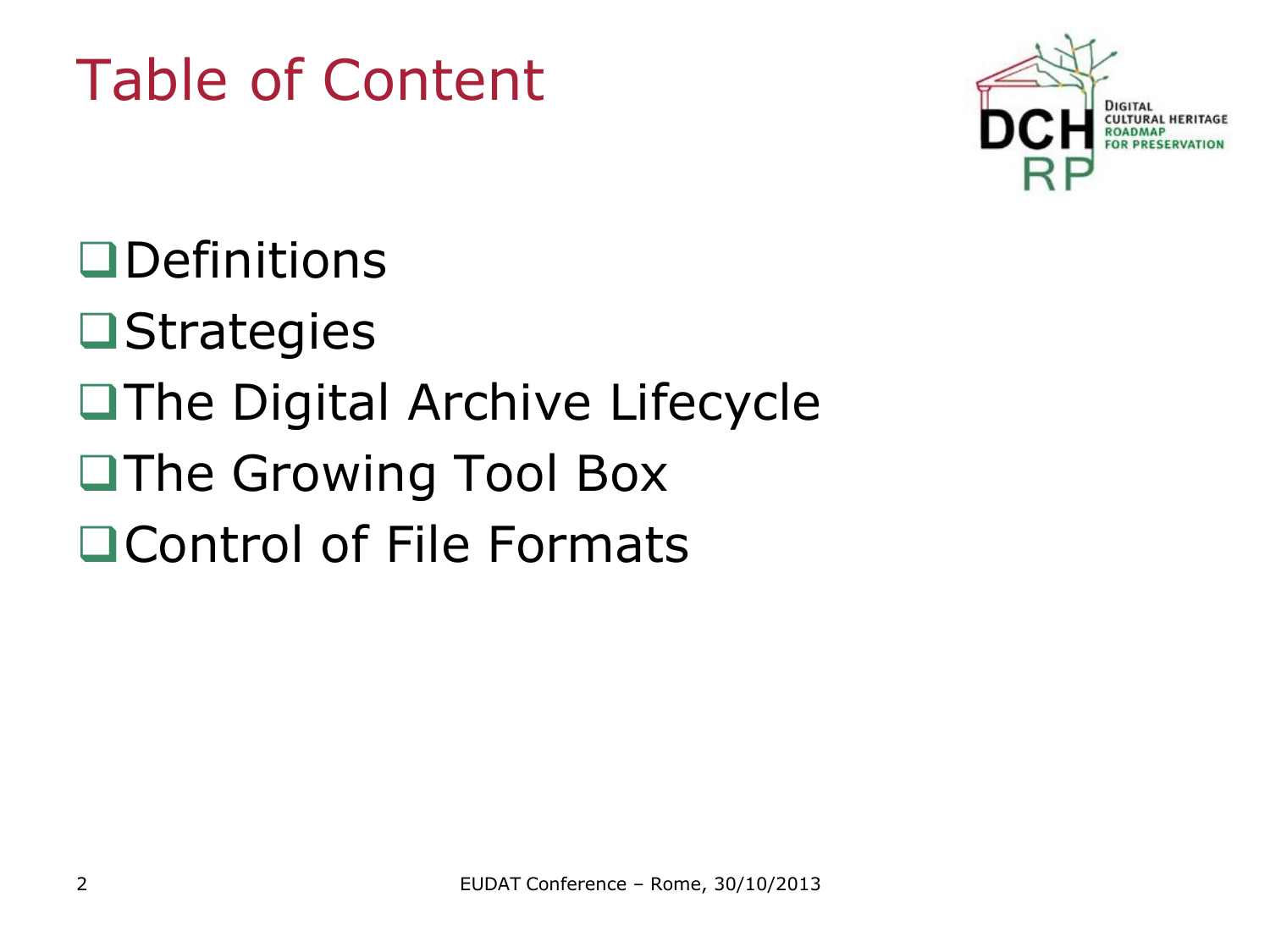

**OD**efinitions

## **O**Strategies

- The Digital Archive Lifecycle
- ■The Growing Tool Box
- □ Control of File Formats

# Table of Content

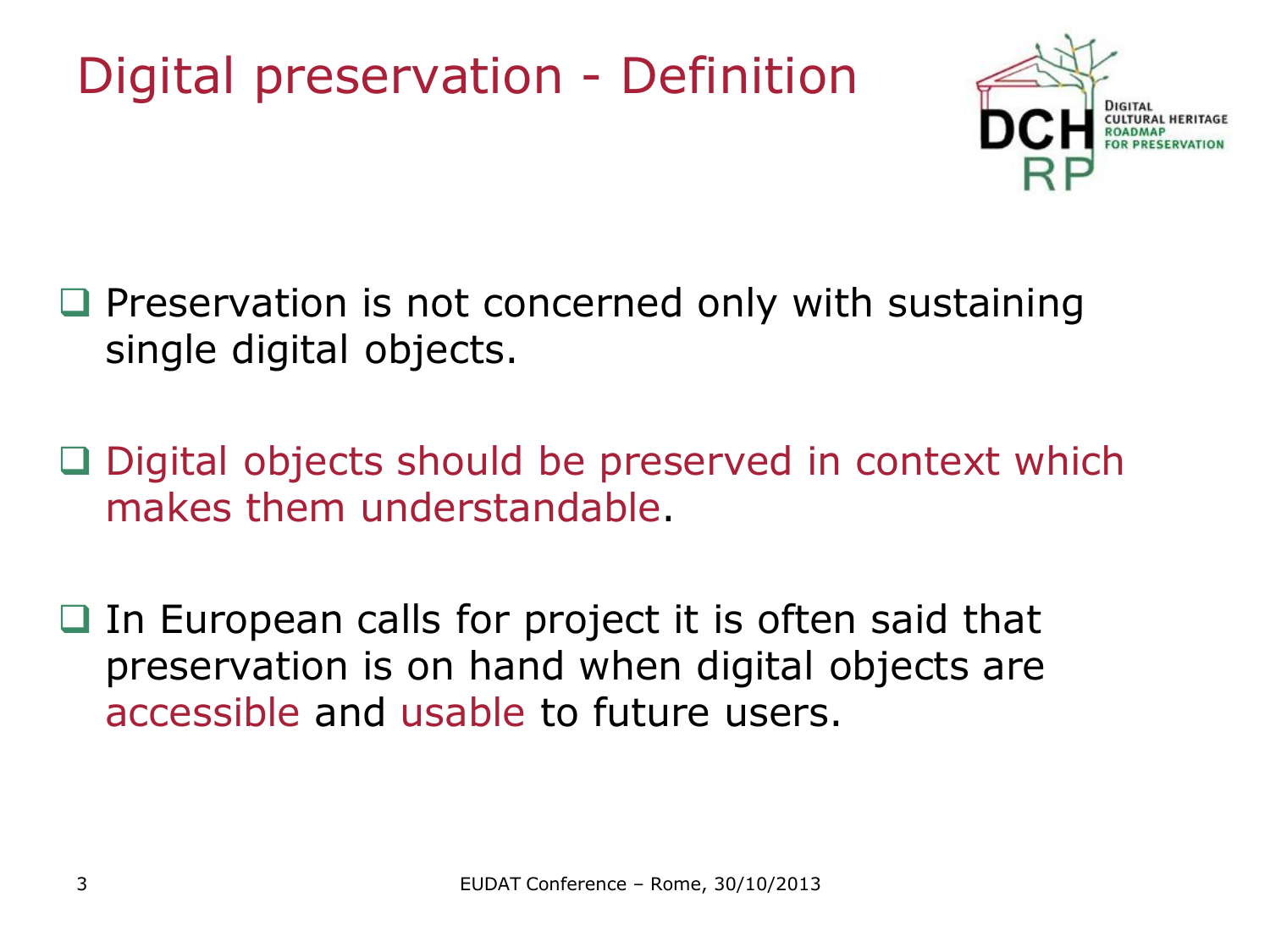## Digital preservation - Definition



- $\Box$  Preservation is not concerned only with sustaining single digital objects.
- $\Box$  Digital objects should be preserved in context which makes them understandable.
- $\Box$  In European calls for project it is often said that preservation is on hand when digital objects are accessible and usable to future users.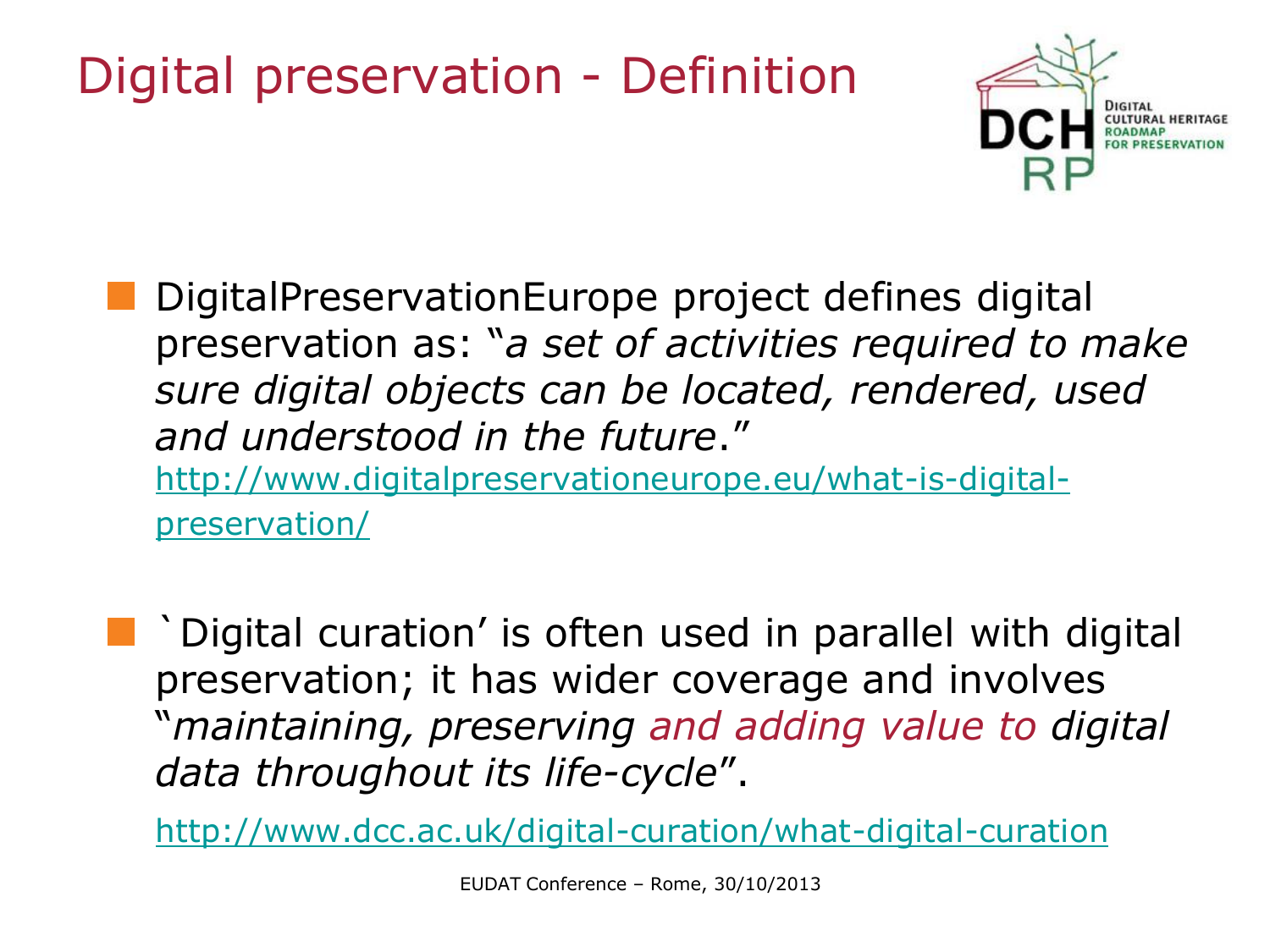## Digital preservation - Definition



DigitalPreservationEurope project defines digital preservation as: "*a set of activities required to make sure digital objects can be located, rendered, used and understood in the future*." [http://www.digitalpreservationeurope.eu/what-is-digital](http://www.digitalpreservationeurope.eu/what-is-digital-preservation/)[preservation/](http://www.digitalpreservationeurope.eu/what-is-digital-preservation/)

`Digital curation' is often used in parallel with digital preservation; it has wider coverage and involves "*maintaining, preserving and adding value to digital data throughout its life-cycle*".

<http://www.dcc.ac.uk/digital-curation/what-digital-curation>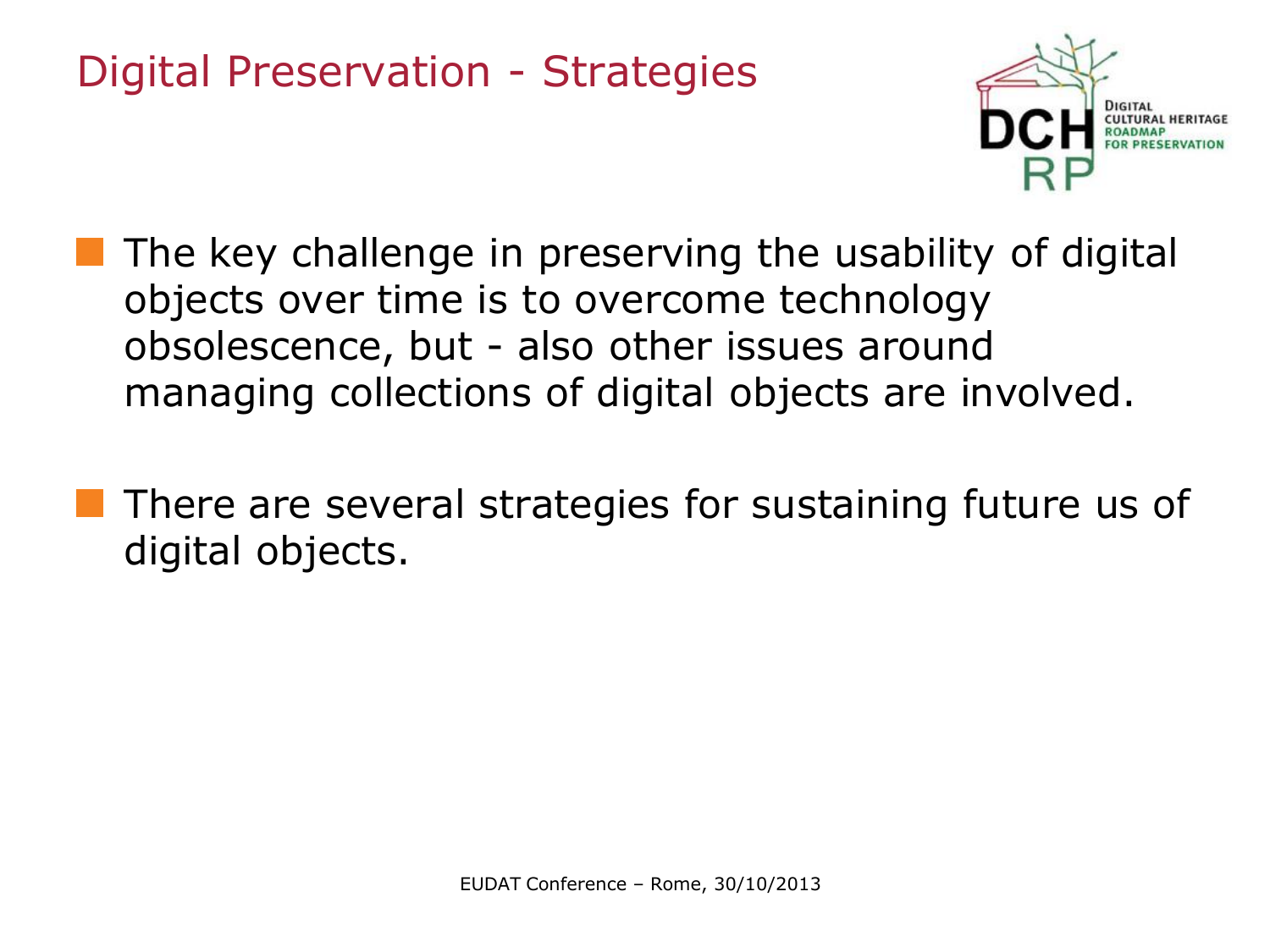

- The key challenge in preserving the usability of digital objects over time is to overcome technology obsolescence, but - also other issues around managing collections of digital objects are involved.
- **There are several strategies for sustaining future us of** digital objects.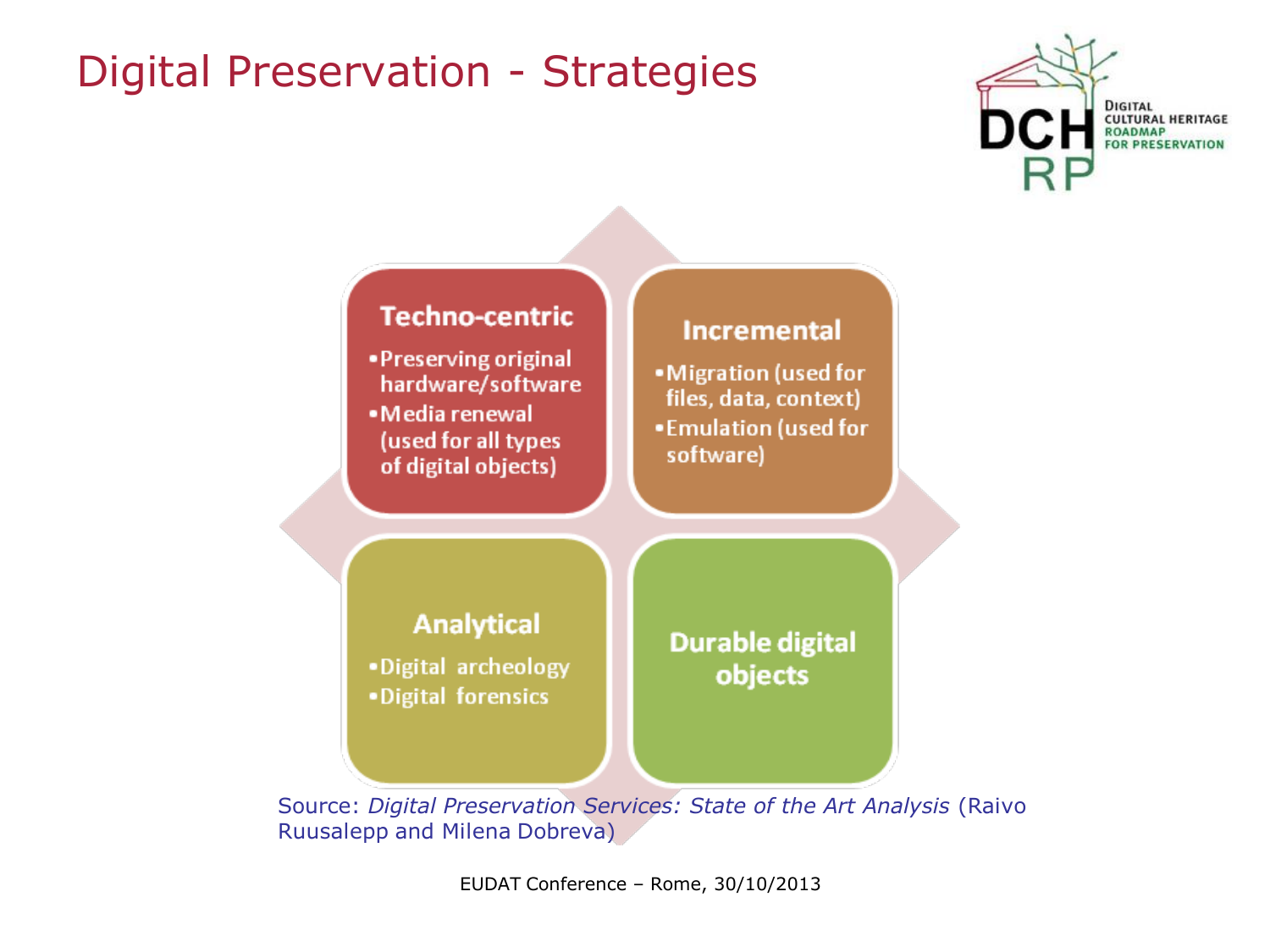



Source: *Digital Preservation Services: State of the Art Analysis* (Raivo Ruusalepp and Milena Dobreva)

EUDAT Conference – Rome, 30/10/2013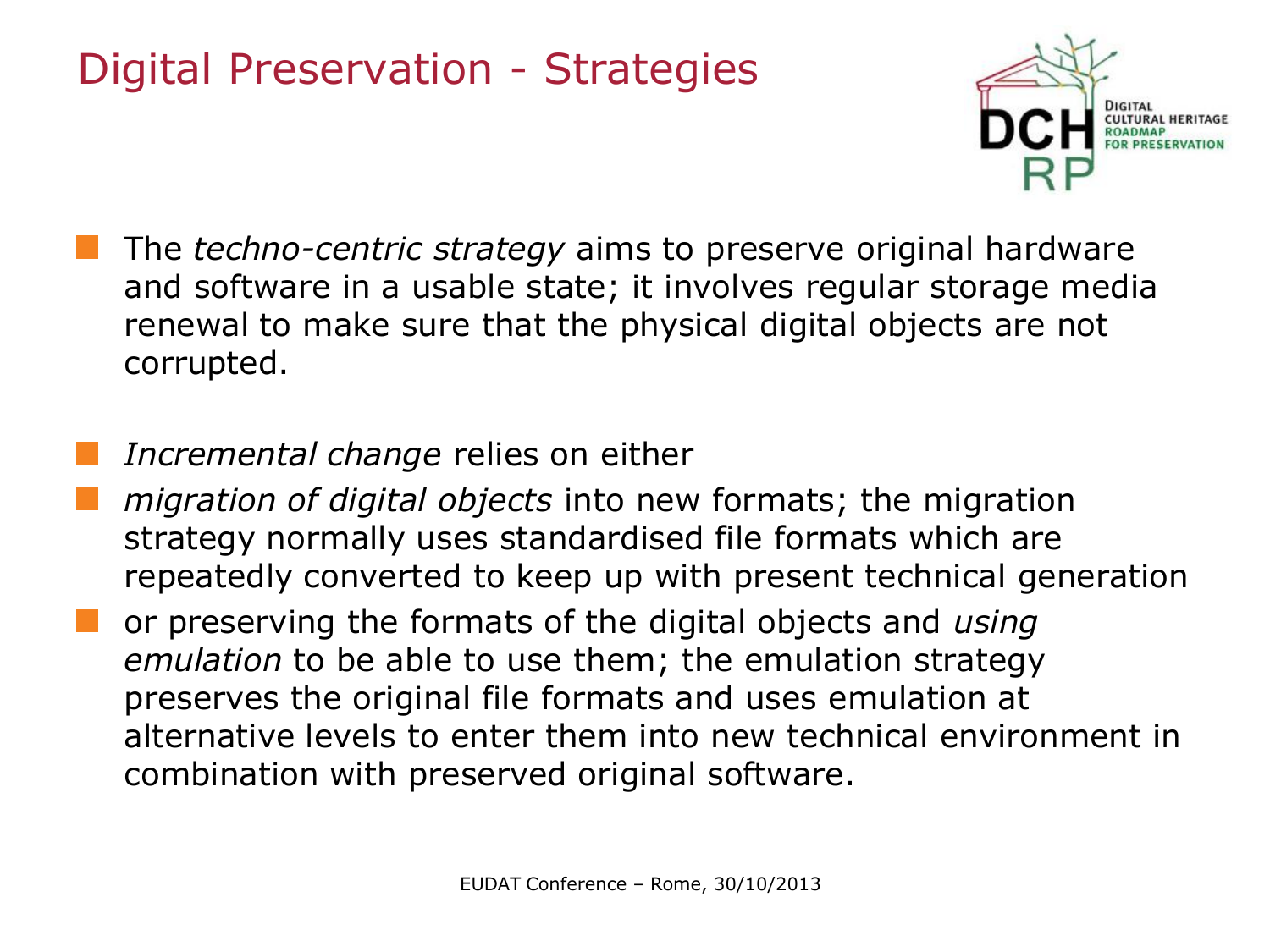

- The *techno-centric strategy* aims to preserve original hardware and software in a usable state; it involves regular storage media renewal to make sure that the physical digital objects are not corrupted.
	- *Incremental change* relies on either
- *migration of digital objects* into new formats; the migration strategy normally uses standardised file formats which are repeatedly converted to keep up with present technical generation
- or preserving the formats of the digital objects and *using emulation* to be able to use them; the emulation strategy preserves the original file formats and uses emulation at alternative levels to enter them into new technical environment in combination with preserved original software.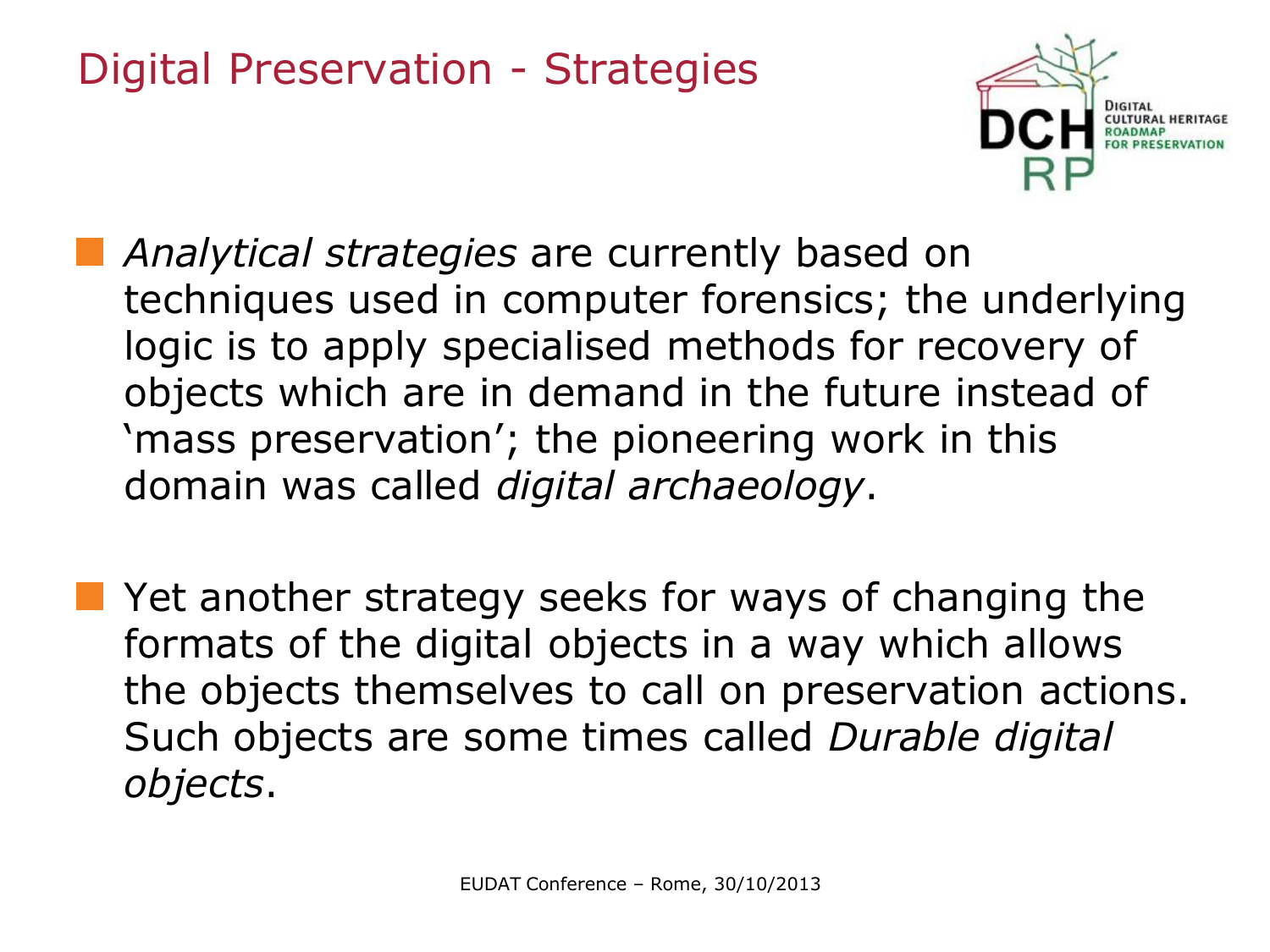

- *Analytical strategies* are currently based on techniques used in computer forensics; the underlying logic is to apply specialised methods for recovery of objects which are in demand in the future instead of 'mass preservation'; the pioneering work in this domain was called *digital archaeology*.
- **Notally 19 Yet another strategy seeks for ways of changing the** formats of the digital objects in a way which allows the objects themselves to call on preservation actions. Such objects are some times called *Durable digital objects*.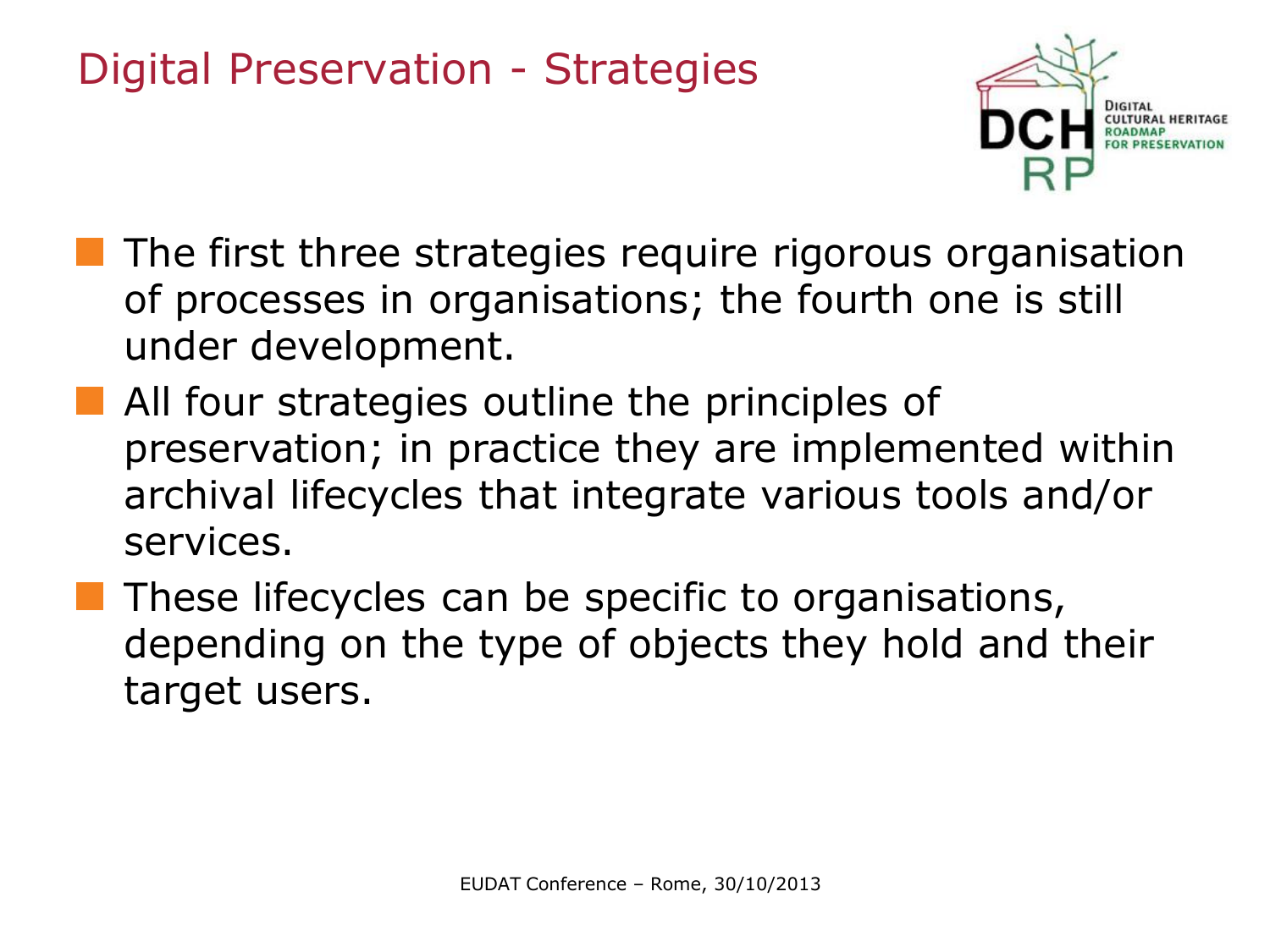

- **The first three strategies require rigorous organisation** of processes in organisations; the fourth one is still under development.
- **All four strategies outline the principles of** preservation; in practice they are implemented within archival lifecycles that integrate various tools and/or services.
	- These lifecycles can be specific to organisations, depending on the type of objects they hold and their target users.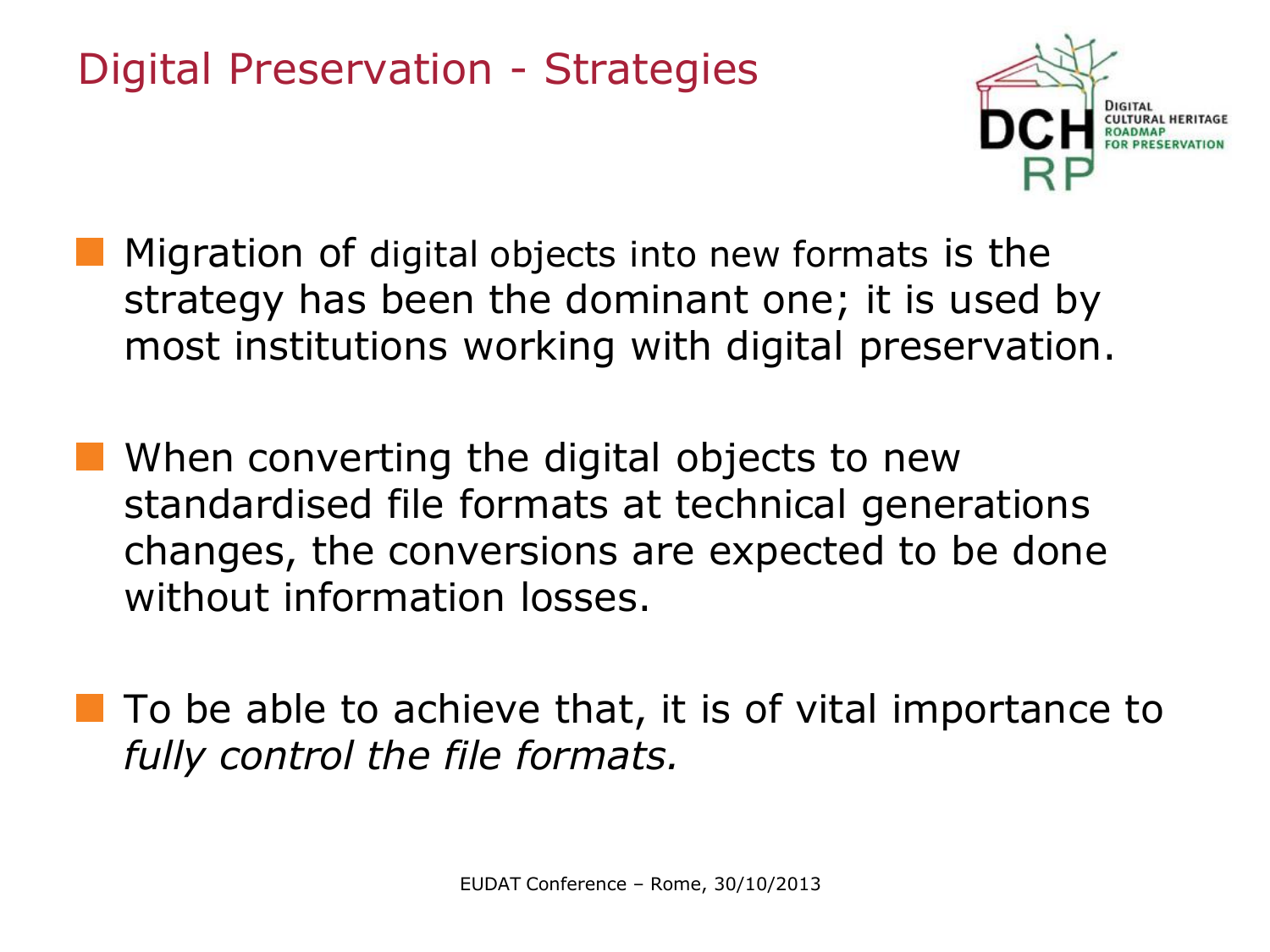

- Migration of digital objects into new formats is the strategy has been the dominant one; it is used by most institutions working with digital preservation.
- **Now When converting the digital objects to new** standardised file formats at technical generations changes, the conversions are expected to be done without information losses.
- $\blacksquare$  To be able to achieve that, it is of vital importance to *fully control the file formats.*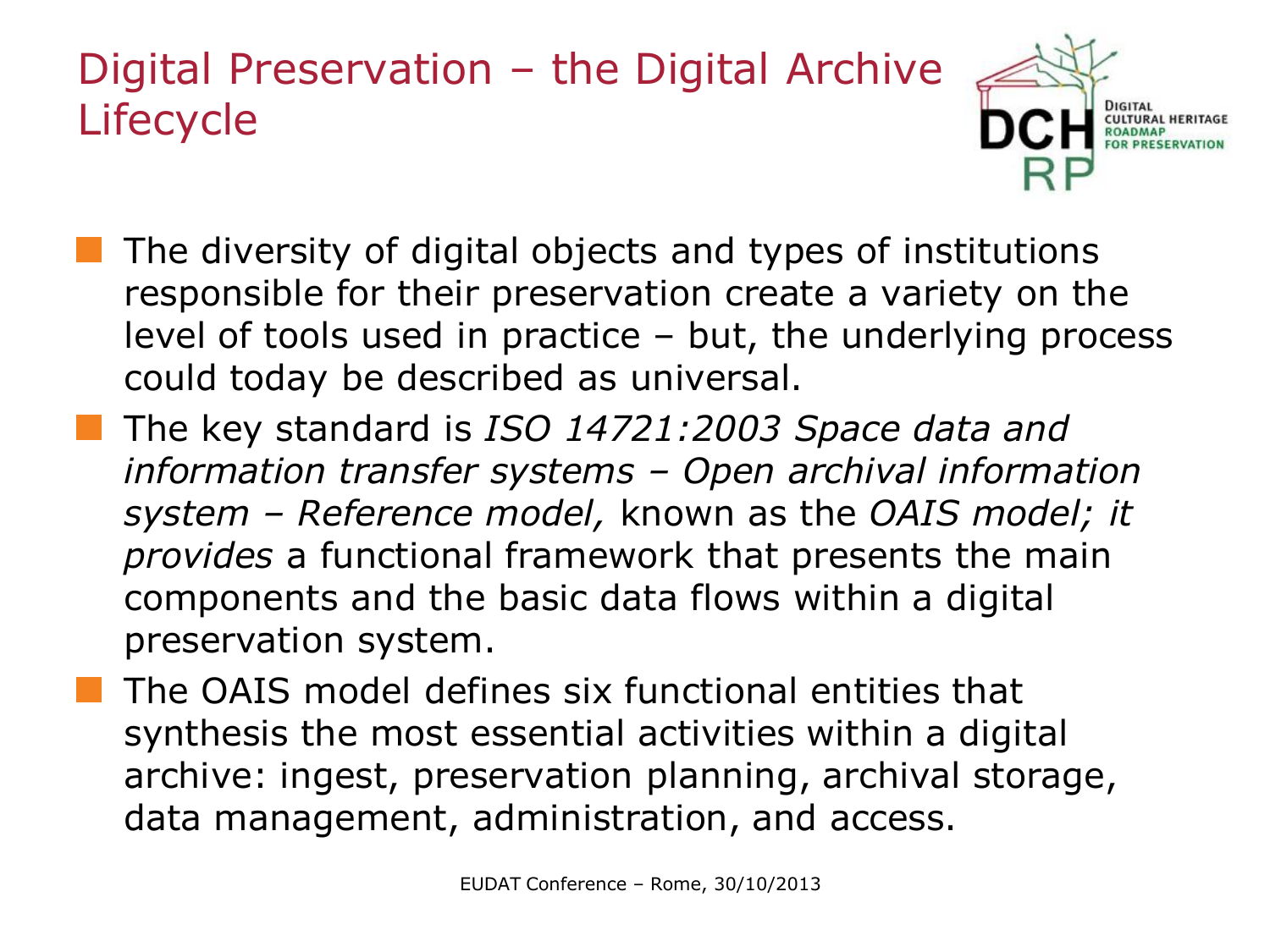#### Digital Preservation – the Digital Archive Lifecycle



- The diversity of digital objects and types of institutions responsible for their preservation create a variety on the level of tools used in practice – but, the underlying process could today be described as universal.
- The key standard is *ISO 14721:2003 Space data and information transfer systems – Open archival information system – Reference model,* known as the *OAIS model; it provides* a functional framework that presents the main components and the basic data flows within a digital preservation system.
- The OAIS model defines six functional entities that synthesis the most essential activities within a digital archive: ingest, preservation planning, archival storage, data management, administration, and access.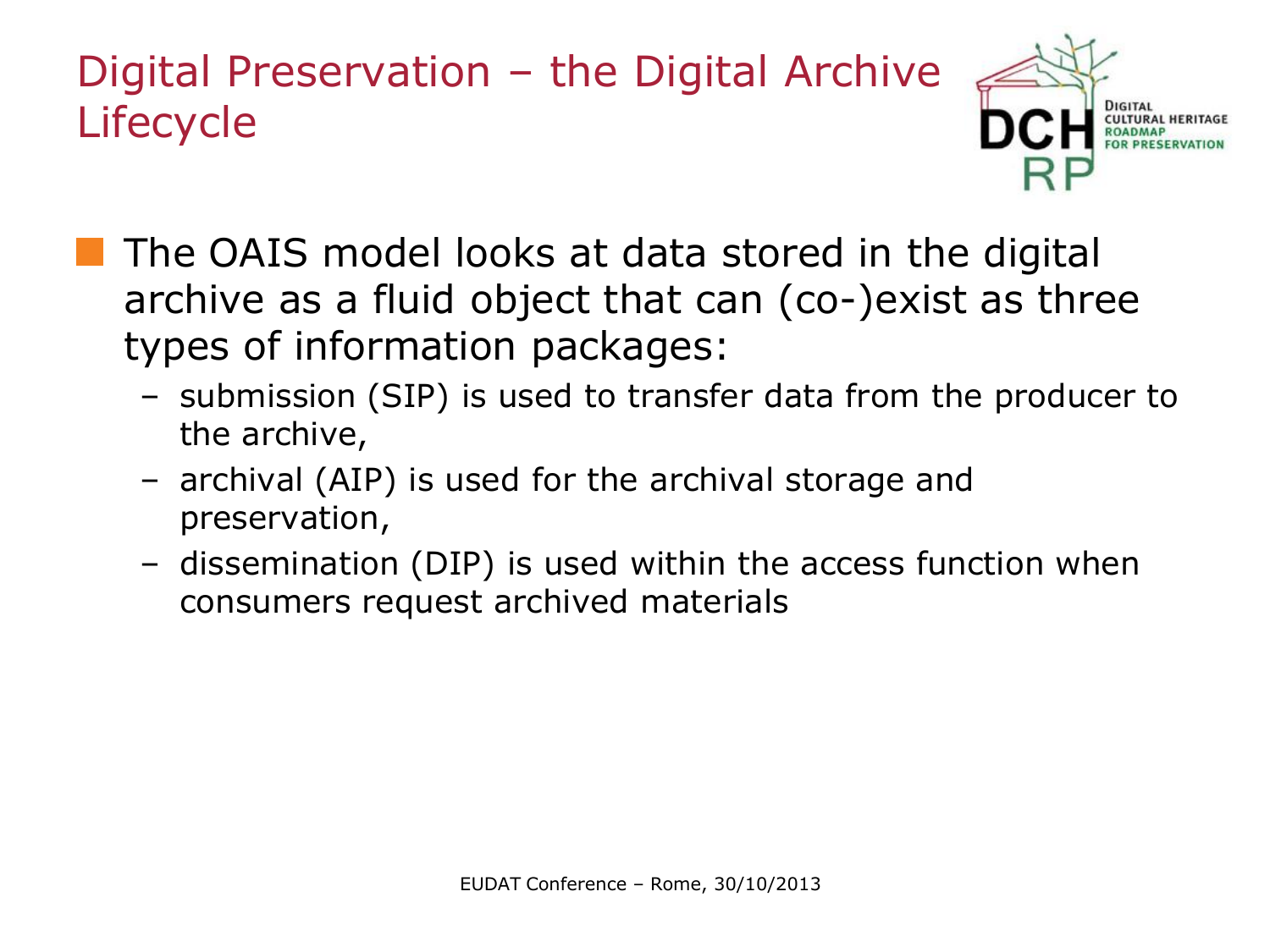#### Digital Preservation – the Digital Archive Lifecycle



- **The OAIS model looks at data stored in the digital** archive as a fluid object that can (co-)exist as three types of information packages:
	- submission (SIP) is used to transfer data from the producer to the archive,
	- archival (AIP) is used for the archival storage and preservation,
	- dissemination (DIP) is used within the access function when consumers request archived materials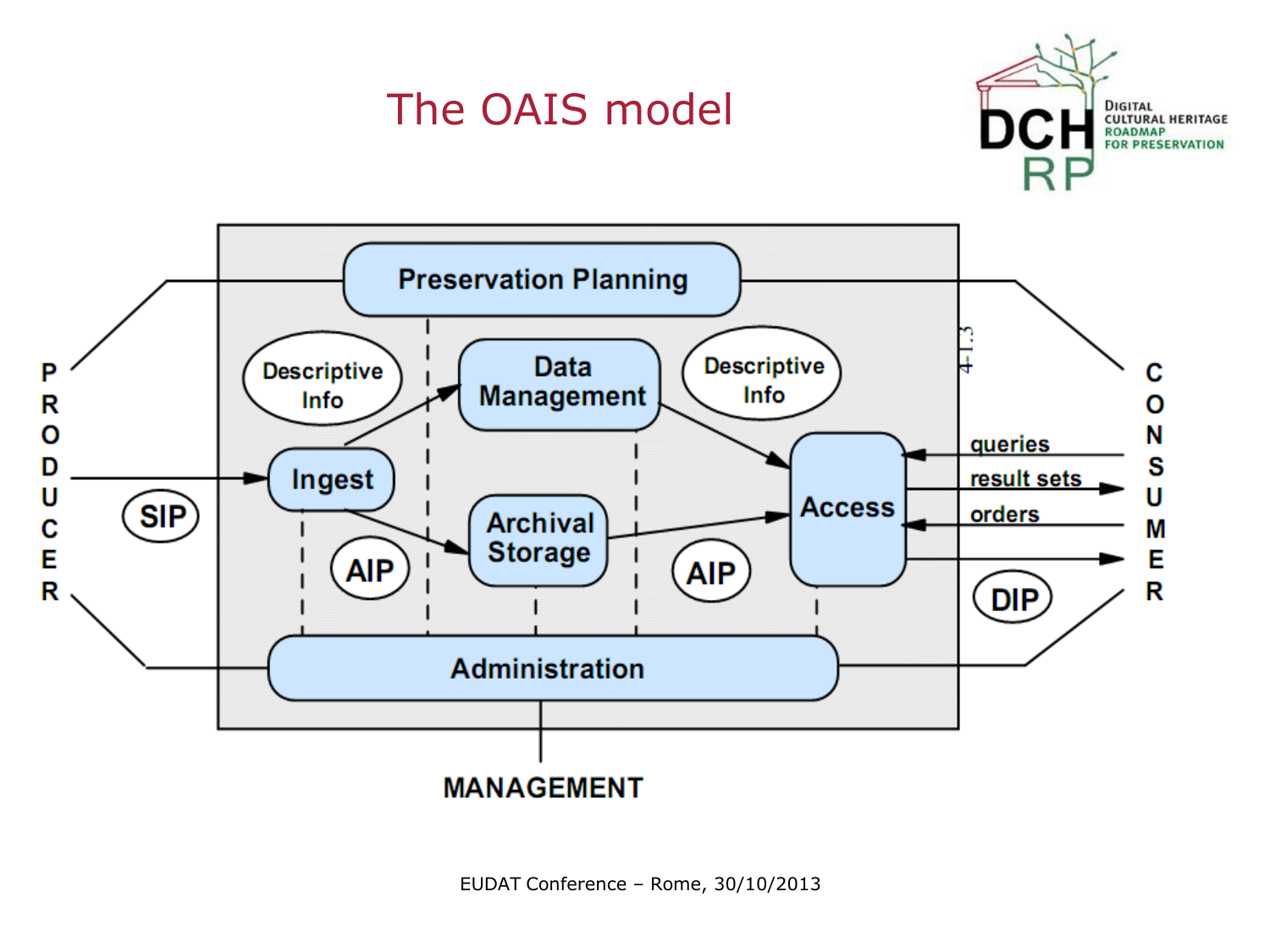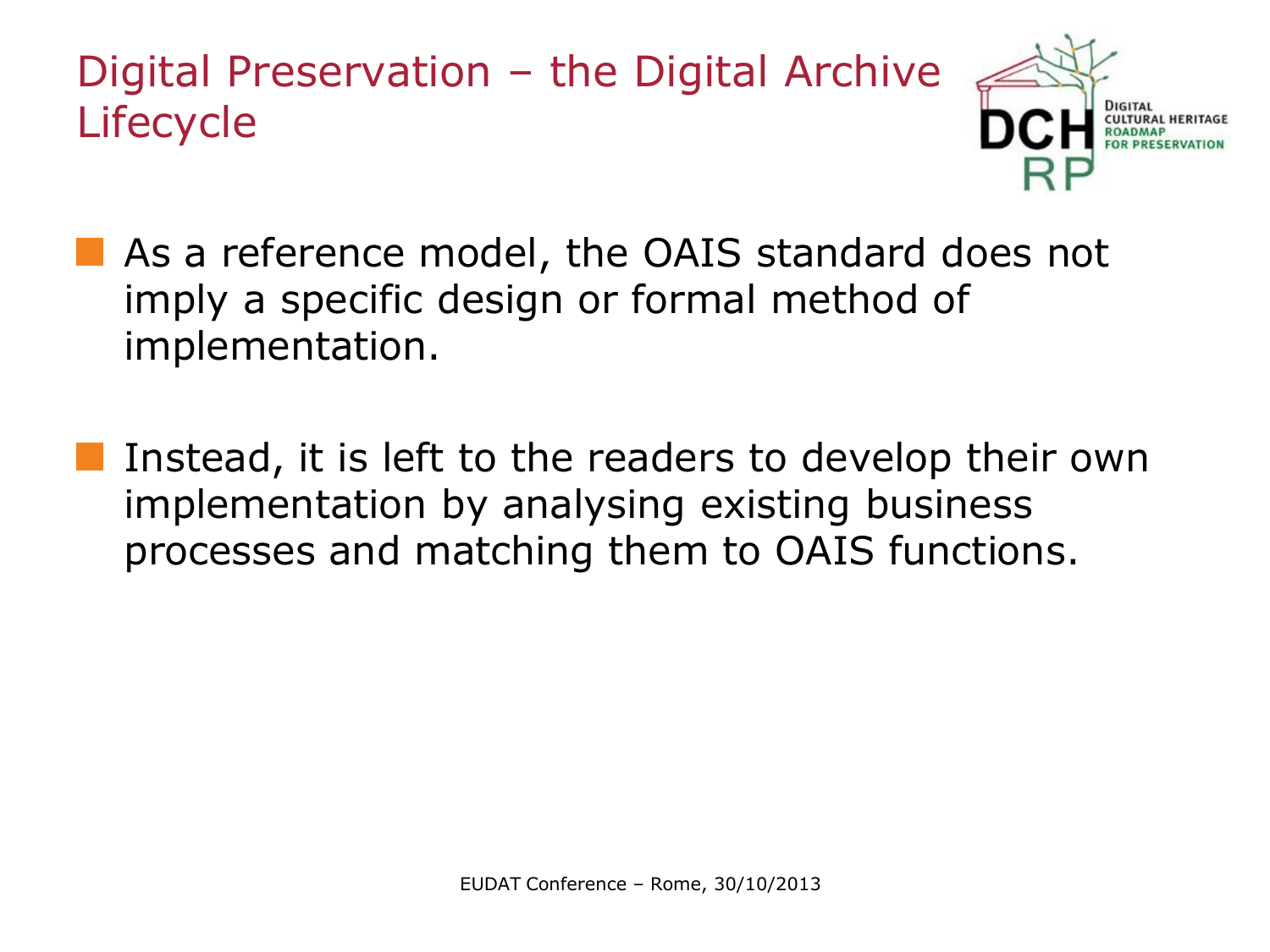Digital Preservation – the Digital Archive Lifecycle



- **As a reference model, the OAIS standard does not** imply a specific design or formal method of implementation.
	- Instead, it is left to the readers to develop their own implementation by analysing existing business processes and matching them to OAIS functions.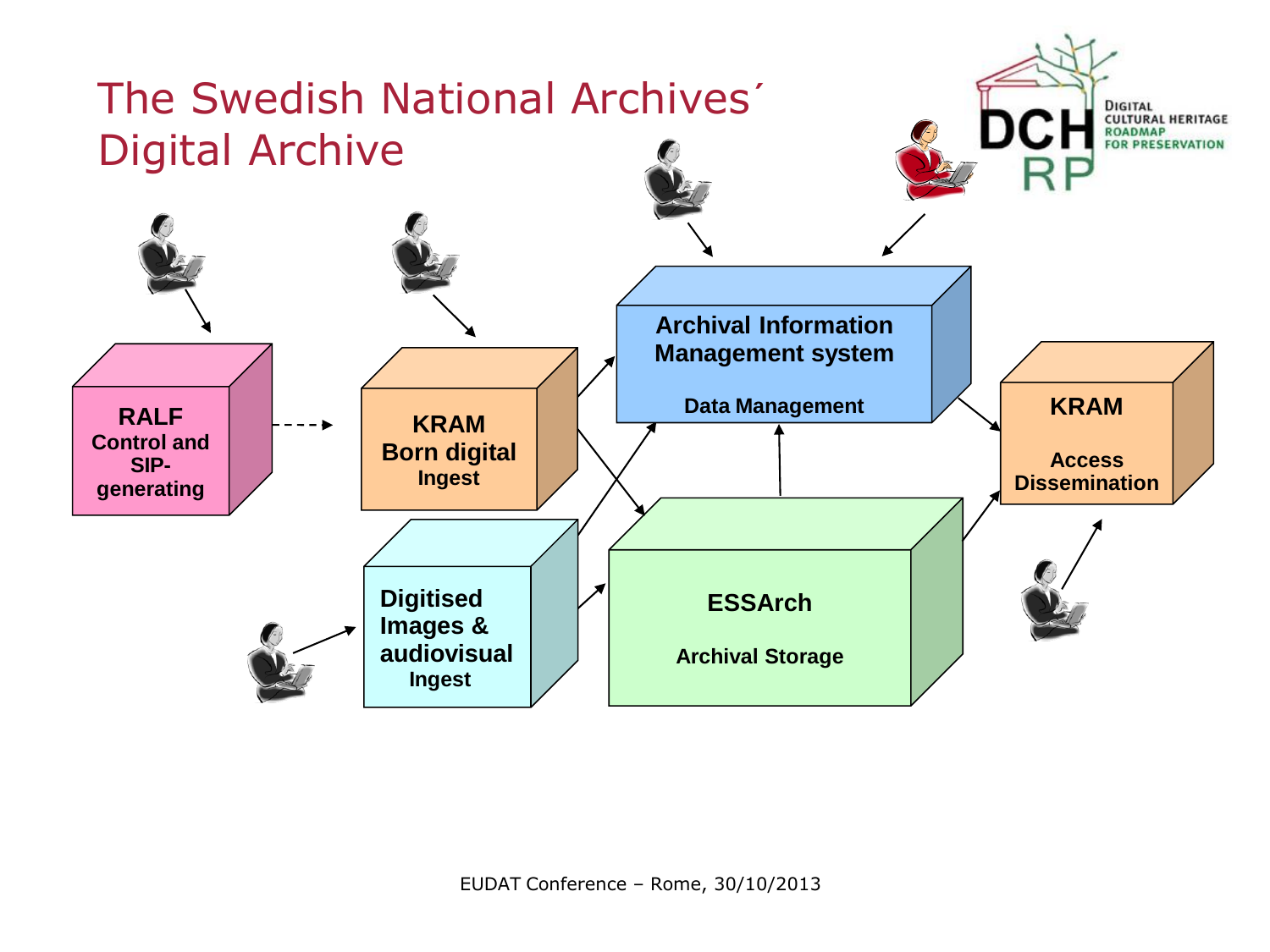

EUDAT Conference – Rome, 30/10/2013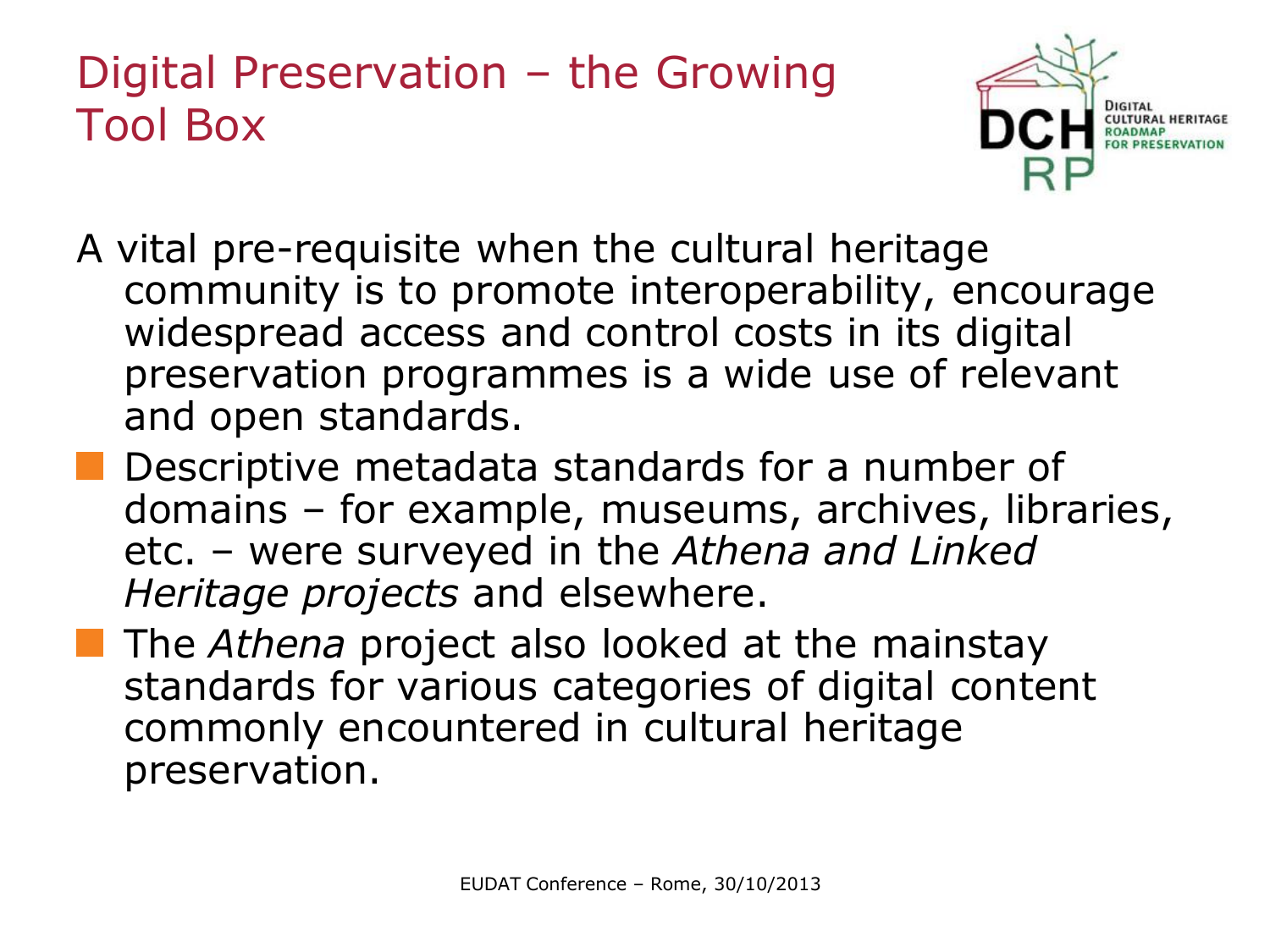#### Digital Preservation – the Growing Tool Box



- A vital pre-requisite when the cultural heritage community is to promote interoperability, encourage widespread access and control costs in its digital preservation programmes is a wide use of relevant and open standards.
- Descriptive metadata standards for a number of domains – for example, museums, archives, libraries, etc. – were surveyed in the *Athena and Linked Heritage projects* and elsewhere.
- **The Athena project also looked at the mainstay** standards for various categories of digital content commonly encountered in cultural heritage preservation.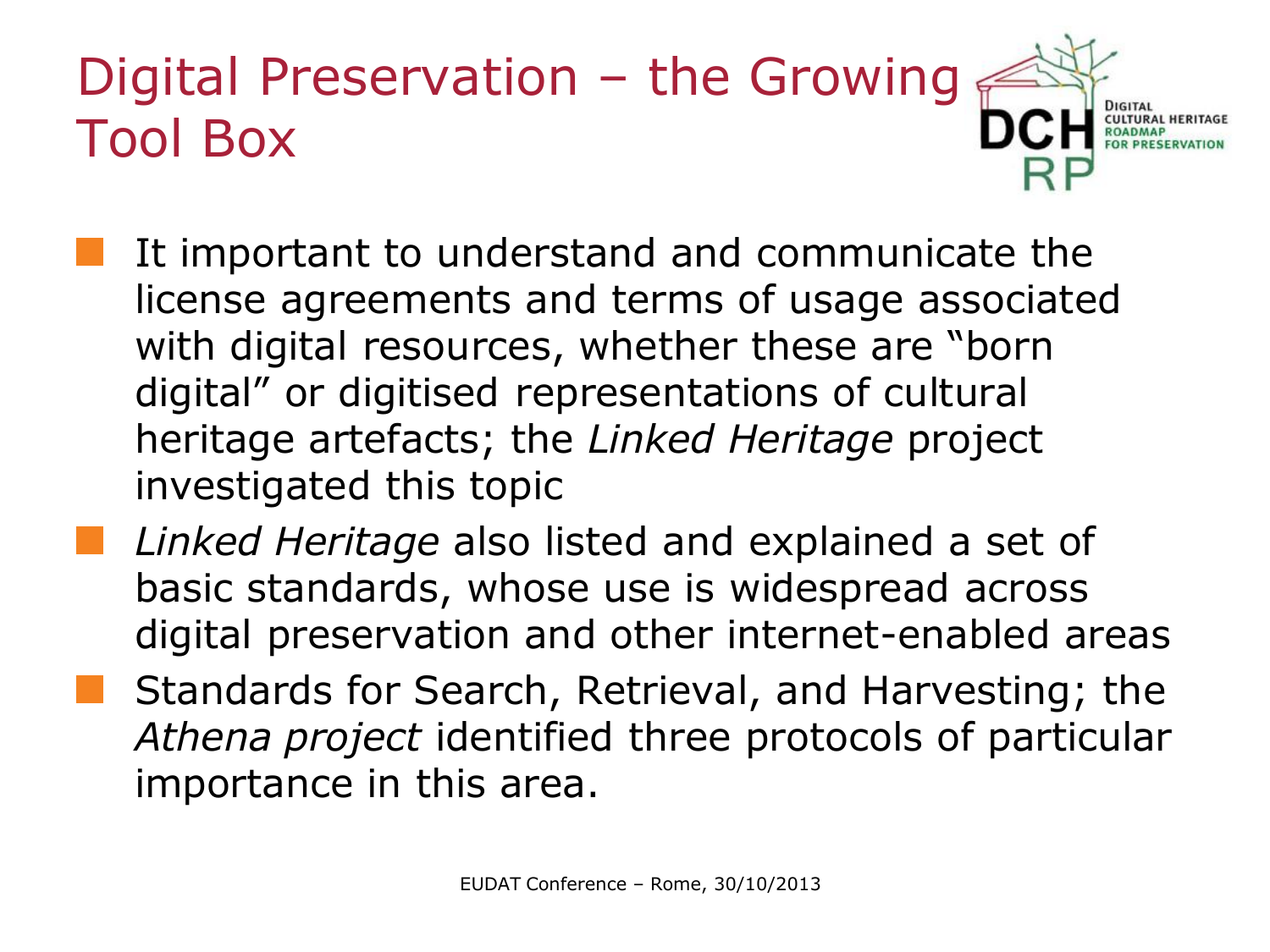## Digital Preservation – the Growing Tool Box

- It important to understand and communicate the license agreements and terms of usage associated with digital resources, whether these are "born digital" or digitised representations of cultural heritage artefacts; the *Linked Heritage* project investigated this topic
- *Linked Heritage* also listed and explained a set of basic standards, whose use is widespread across digital preservation and other internet-enabled areas
- Standards for Search, Retrieval, and Harvesting; the *Athena project* identified three protocols of particular importance in this area.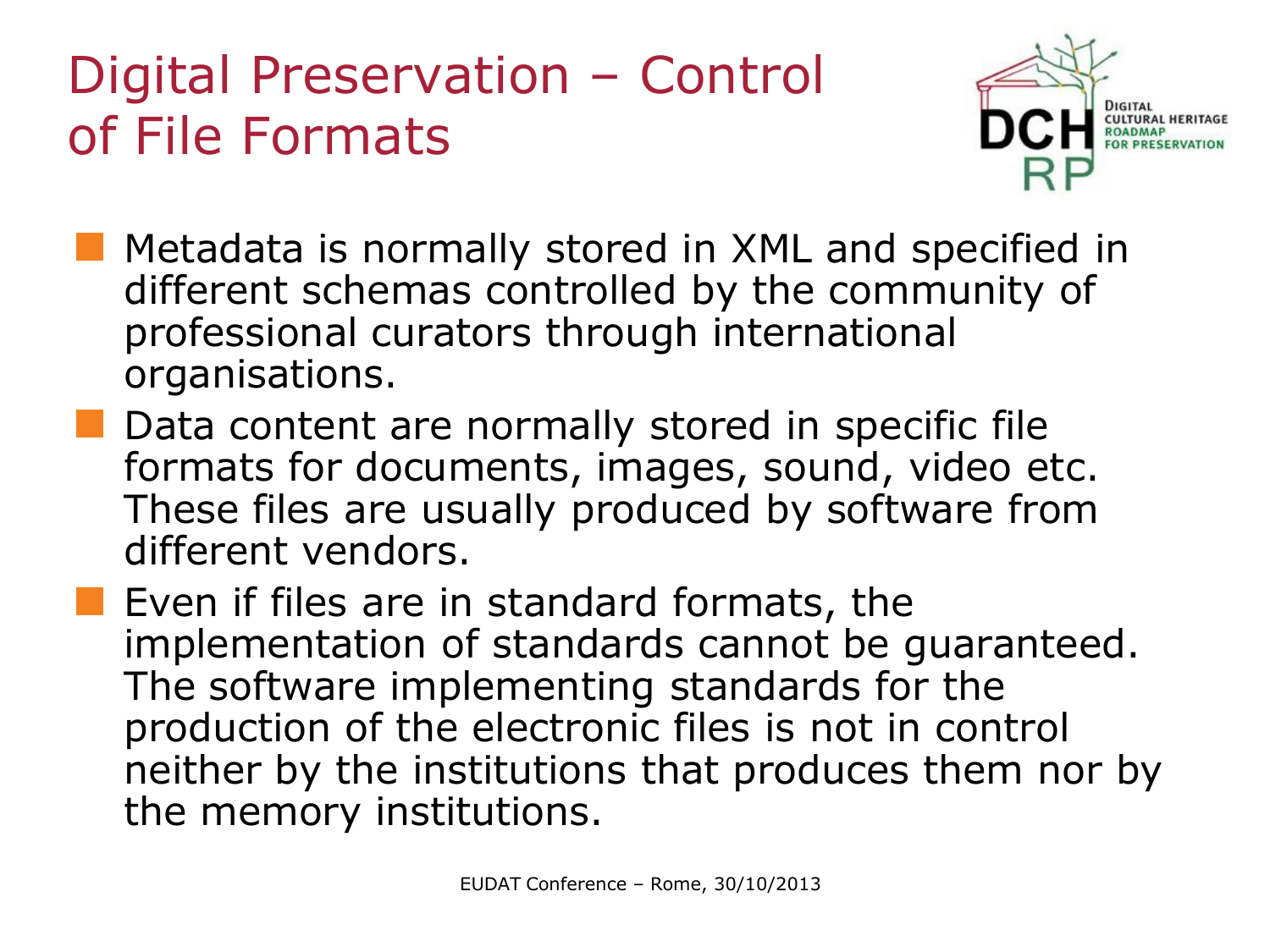## Digital Preservation – Control of File Formats



- **Metadata is normally stored in XML and specified in** different schemas controlled by the community of professional curators through international organisations.
- Data content are normally stored in specific file formats for documents, images, sound, video etc. These files are usually produced by software from different vendors.
- $\blacksquare$  Even if files are in standard formats, the implementation of standards cannot be guaranteed. The software implementing standards for the production of the electronic files is not in control neither by the institutions that produces them nor by the memory institutions.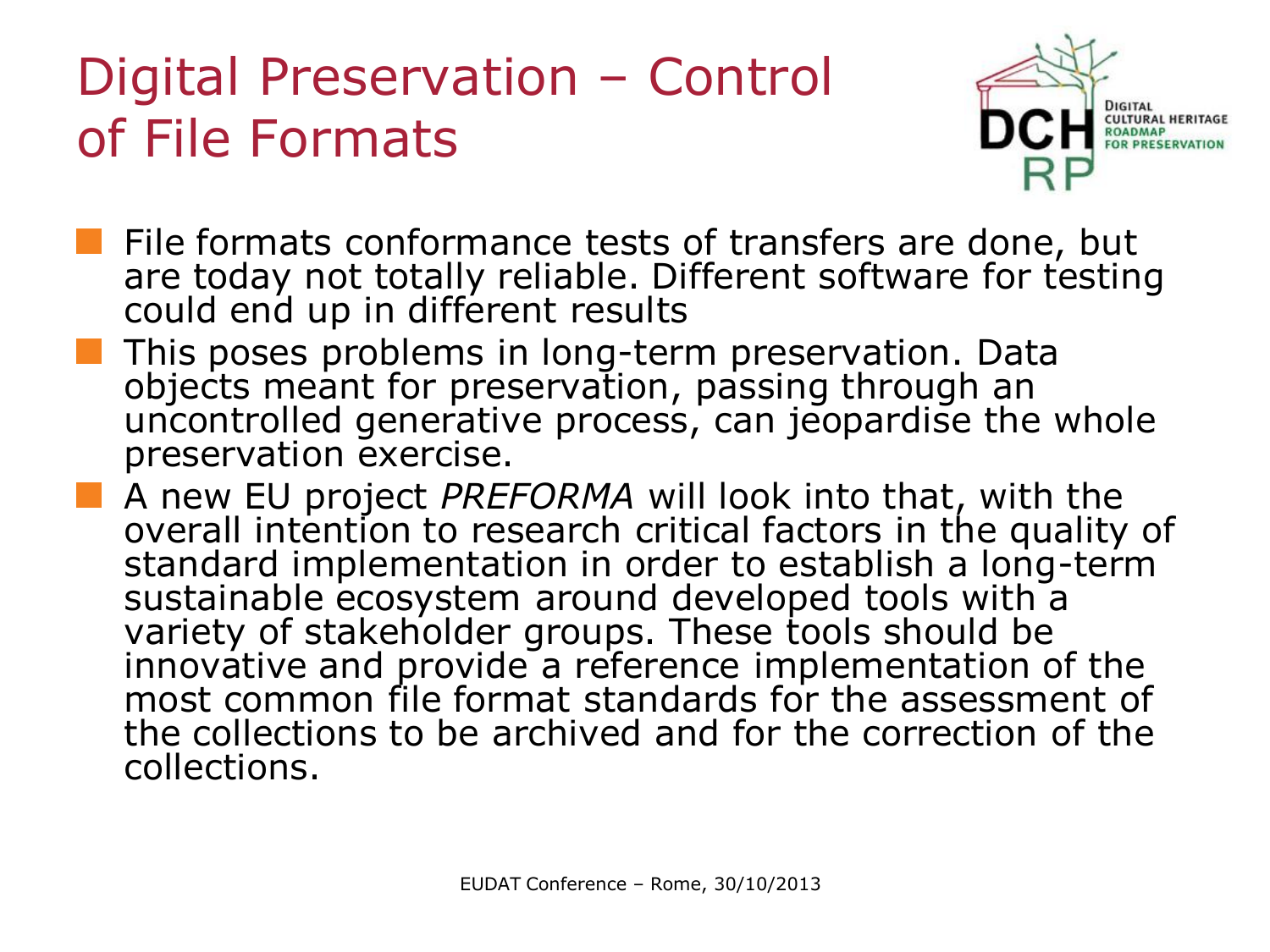## Digital Preservation – Control of File Formats



- File formats conformance tests of transfers are done, but are today not totally reliable. Different software for testing could end up in different results
- This poses problems in long-term preservation. Data objects meant for preservation, passing through an uncontrolled generative process, can jeopardise the whole preservation exercise.
- A new EU project *PREFORMA* will look into that, with the overall intention to research critical factors in the quality of standard implementation in order to establish a long-term sustainable ecosystem around developed tools with a variety of stakeholder groups. These tools should be innovative and provide a reference implementation of the most common file format standards for the assessment of the collections to be archived and for the correction of the collections.